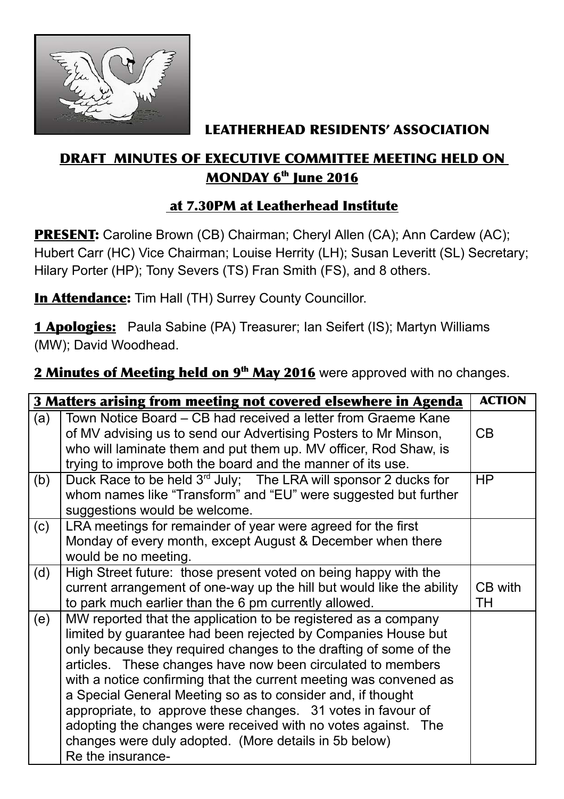

## LEATHERHEAD RESIDENTS' ASSOCIATION

## DRAFT MINUTES OF EXECUTIVE COMMITTEE MEETING HELD ON <u>MONDAY 6<sup>th</sup> June 2016</u>

## at 7.30PM at Leatherhead Institute

PRESENT: Caroline Brown (CB) Chairman; Cheryl Allen (CA); Ann Cardew (AC); Hubert Carr (HC) Vice Chairman; Louise Herrity (LH); Susan Leveritt (SL) Secretary; Hilary Porter (HP); Tony Severs (TS) Fran Smith (FS), and 8 others.

**In Attendance:** Tim Hall (TH) Surrey County Councillor.

1 Apologies: Paula Sabine (PA) Treasurer; Ian Seifert (IS); Martyn Williams (MW); David Woodhead.

2 Minutes of Meeting held on 9<sup>th</sup> May 2016 were approved with no changes.

|     | 3 Matters arising from meeting not covered elsewhere in Agenda                                                                                                                                                                                                                                                                                                                                                                                                                                                                                                                                                         | <b>ACTION</b> |
|-----|------------------------------------------------------------------------------------------------------------------------------------------------------------------------------------------------------------------------------------------------------------------------------------------------------------------------------------------------------------------------------------------------------------------------------------------------------------------------------------------------------------------------------------------------------------------------------------------------------------------------|---------------|
| (a) | Town Notice Board – CB had received a letter from Graeme Kane<br>of MV advising us to send our Advertising Posters to Mr Minson,<br>who will laminate them and put them up. MV officer, Rod Shaw, is<br>trying to improve both the board and the manner of its use.                                                                                                                                                                                                                                                                                                                                                    | CB            |
| (b) | Duck Race to be held 3 <sup>rd</sup> July; The LRA will sponsor 2 ducks for<br>whom names like "Transform" and "EU" were suggested but further<br>suggestions would be welcome.                                                                                                                                                                                                                                                                                                                                                                                                                                        | HP            |
| (c) | LRA meetings for remainder of year were agreed for the first<br>Monday of every month, except August & December when there<br>would be no meeting.                                                                                                                                                                                                                                                                                                                                                                                                                                                                     |               |
| (d) | High Street future: those present voted on being happy with the<br>current arrangement of one-way up the hill but would like the ability<br>to park much earlier than the 6 pm currently allowed.                                                                                                                                                                                                                                                                                                                                                                                                                      | CB with<br>ТH |
| (e) | MW reported that the application to be registered as a company<br>limited by guarantee had been rejected by Companies House but<br>only because they required changes to the drafting of some of the<br>articles. These changes have now been circulated to members<br>with a notice confirming that the current meeting was convened as<br>a Special General Meeting so as to consider and, if thought<br>appropriate, to approve these changes. 31 votes in favour of<br>adopting the changes were received with no votes against. The<br>changes were duly adopted. (More details in 5b below)<br>Re the insurance- |               |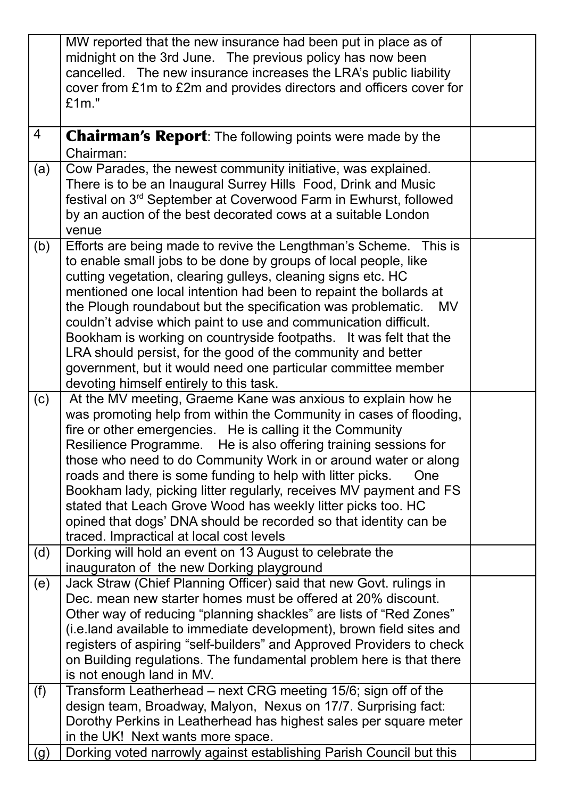|                | MW reported that the new insurance had been put in place as of                                                                               |  |
|----------------|----------------------------------------------------------------------------------------------------------------------------------------------|--|
|                | midnight on the 3rd June. The previous policy has now been                                                                                   |  |
|                | cancelled. The new insurance increases the LRA's public liability                                                                            |  |
|                | cover from £1m to £2m and provides directors and officers cover for                                                                          |  |
|                | £1m."                                                                                                                                        |  |
|                |                                                                                                                                              |  |
| $\overline{4}$ | <b>Chairman's Report:</b> The following points were made by the<br>Chairman:                                                                 |  |
| (a)            | Cow Parades, the newest community initiative, was explained.                                                                                 |  |
|                | There is to be an Inaugural Surrey Hills Food, Drink and Music                                                                               |  |
|                | festival on 3 <sup>rd</sup> September at Coverwood Farm in Ewhurst, followed                                                                 |  |
|                | by an auction of the best decorated cows at a suitable London                                                                                |  |
|                | venue                                                                                                                                        |  |
| (b)            | Efforts are being made to revive the Lengthman's Scheme. This is                                                                             |  |
|                | to enable small jobs to be done by groups of local people, like                                                                              |  |
|                | cutting vegetation, clearing gulleys, cleaning signs etc. HC                                                                                 |  |
|                | mentioned one local intention had been to repaint the bollards at                                                                            |  |
|                | the Plough roundabout but the specification was problematic. MV                                                                              |  |
|                | couldn't advise which paint to use and communication difficult.                                                                              |  |
|                | Bookham is working on countryside footpaths. It was felt that the                                                                            |  |
|                | LRA should persist, for the good of the community and better<br>government, but it would need one particular committee member                |  |
|                | devoting himself entirely to this task.                                                                                                      |  |
| (c)            | At the MV meeting, Graeme Kane was anxious to explain how he                                                                                 |  |
|                | was promoting help from within the Community in cases of flooding,                                                                           |  |
|                | fire or other emergencies. He is calling it the Community                                                                                    |  |
|                | Resilience Programme. He is also offering training sessions for                                                                              |  |
|                | those who need to do Community Work in or around water or along                                                                              |  |
|                | roads and there is some funding to help with litter picks.<br><b>One</b>                                                                     |  |
|                | Bookham lady, picking litter regularly, receives MV payment and FS                                                                           |  |
|                | stated that Leach Grove Wood has weekly litter picks too. HC                                                                                 |  |
|                | opined that dogs' DNA should be recorded so that identity can be                                                                             |  |
|                | traced. Impractical at local cost levels                                                                                                     |  |
| (d)            | Dorking will hold an event on 13 August to celebrate the                                                                                     |  |
|                | inauguraton of the new Dorking playground                                                                                                    |  |
| (e)            | Jack Straw (Chief Planning Officer) said that new Govt. rulings in                                                                           |  |
|                | Dec. mean new starter homes must be offered at 20% discount.                                                                                 |  |
|                | Other way of reducing "planning shackles" are lists of "Red Zones"                                                                           |  |
|                | (i.e.land available to immediate development), brown field sites and                                                                         |  |
|                | registers of aspiring "self-builders" and Approved Providers to check<br>on Building regulations. The fundamental problem here is that there |  |
|                | is not enough land in MV.                                                                                                                    |  |
| (f)            | Transform Leatherhead – next CRG meeting 15/6; sign off of the                                                                               |  |
|                | design team, Broadway, Malyon, Nexus on 17/7. Surprising fact:                                                                               |  |
|                | Dorothy Perkins in Leatherhead has highest sales per square meter                                                                            |  |
|                | in the UK! Next wants more space.                                                                                                            |  |
| (g)            | Dorking voted narrowly against establishing Parish Council but this                                                                          |  |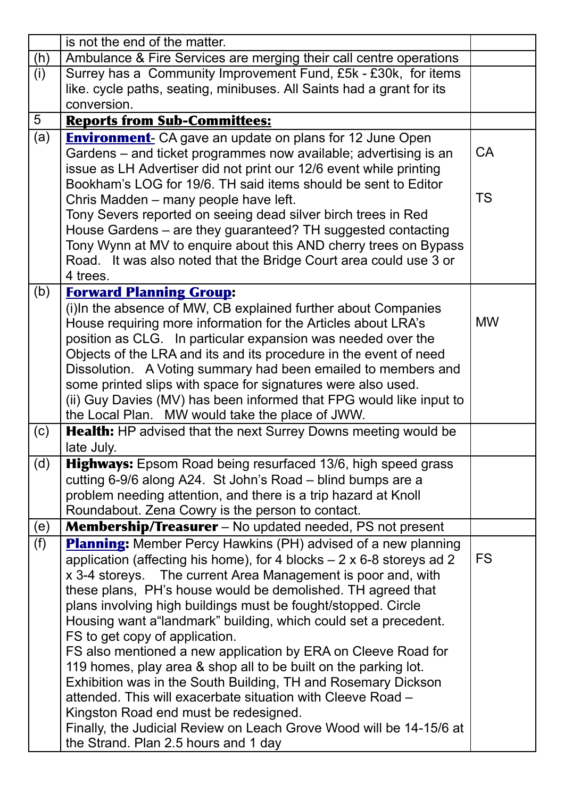|     | is not the end of the matter.                                                                                                     |           |
|-----|-----------------------------------------------------------------------------------------------------------------------------------|-----------|
| (h) | Ambulance & Fire Services are merging their call centre operations                                                                |           |
| (i) | Surrey has a Community Improvement Fund, £5k - £30k, for items                                                                    |           |
|     | like. cycle paths, seating, minibuses. All Saints had a grant for its                                                             |           |
|     | conversion.                                                                                                                       |           |
| 5   | <b>Reports from Sub-Committees:</b>                                                                                               |           |
| (a) | <b>Environment-</b> CA gave an update on plans for 12 June Open                                                                   |           |
|     | Gardens – and ticket programmes now available; advertising is an                                                                  | CA        |
|     | issue as LH Advertiser did not print our 12/6 event while printing                                                                |           |
|     | Bookham's LOG for 19/6. TH said items should be sent to Editor                                                                    |           |
|     | Chris Madden - many people have left.                                                                                             | <b>TS</b> |
|     | Tony Severs reported on seeing dead silver birch trees in Red                                                                     |           |
|     | House Gardens – are they guaranteed? TH suggested contacting                                                                      |           |
|     | Tony Wynn at MV to enquire about this AND cherry trees on Bypass                                                                  |           |
|     | Road. It was also noted that the Bridge Court area could use 3 or                                                                 |           |
|     | 4 trees.                                                                                                                          |           |
| (b) | <b>Forward Planning Group:</b>                                                                                                    |           |
|     | (i)In the absence of MW, CB explained further about Companies                                                                     | <b>MW</b> |
|     | House requiring more information for the Articles about LRA's                                                                     |           |
|     | position as CLG. In particular expansion was needed over the<br>Objects of the LRA and its and its procedure in the event of need |           |
|     | Dissolution. A Voting summary had been emailed to members and                                                                     |           |
|     | some printed slips with space for signatures were also used.                                                                      |           |
|     | (ii) Guy Davies (MV) has been informed that FPG would like input to                                                               |           |
|     | the Local Plan. MW would take the place of JWW.                                                                                   |           |
| (c) | Health: HP advised that the next Surrey Downs meeting would be                                                                    |           |
|     | late July.                                                                                                                        |           |
| (d) | Highways: Epsom Road being resurfaced 13/6, high speed grass                                                                      |           |
|     | cutting 6-9/6 along A24. St John's Road – blind bumps are a                                                                       |           |
|     | problem needing attention, and there is a trip hazard at Knoll                                                                    |           |
|     | Roundabout. Zena Cowry is the person to contact.                                                                                  |           |
| (e) | <b>Membership/Treasurer</b> – No updated needed, PS not present                                                                   |           |
| (f) | <b>Planning:</b> Member Percy Hawkins (PH) advised of a new planning                                                              |           |
|     |                                                                                                                                   |           |
|     | application (affecting his home), for 4 blocks $-2 \times 6-8$ storeys ad 2                                                       | <b>FS</b> |
|     | x 3-4 storeys. The current Area Management is poor and, with                                                                      |           |
|     | these plans, PH's house would be demolished. TH agreed that                                                                       |           |
|     | plans involving high buildings must be fought/stopped. Circle                                                                     |           |
|     | Housing want a "landmark" building, which could set a precedent.                                                                  |           |
|     | FS to get copy of application.                                                                                                    |           |
|     | FS also mentioned a new application by ERA on Cleeve Road for                                                                     |           |
|     | 119 homes, play area & shop all to be built on the parking lot.                                                                   |           |
|     | Exhibition was in the South Building, TH and Rosemary Dickson                                                                     |           |
|     | attended. This will exacerbate situation with Cleeve Road -                                                                       |           |
|     | Kingston Road end must be redesigned.                                                                                             |           |
|     | Finally, the Judicial Review on Leach Grove Wood will be 14-15/6 at<br>the Strand. Plan 2.5 hours and 1 day                       |           |